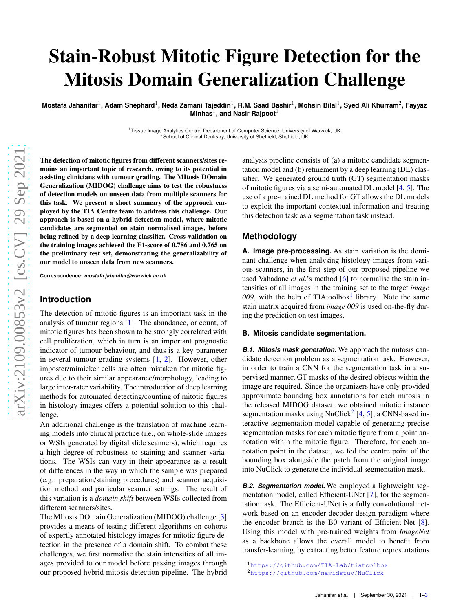# Stain-Robust Mitotic Figure Detection for the Mitosis Domain Generalization Challenge

Mostafa Jahanifar<sup>1</sup>, Adam Shephard<sup>1</sup>, Neda Zamani Tajeddin<sup>1</sup>, R.M. Saad Bashir<sup>1</sup>, Mohsin Bilal<sup>1</sup>, Syed Ali Khurram<sup>2</sup>, Fayyaz **Minhas** 1 **, and Nasir Rajpoot** 1

<sup>1</sup>Tissue Image Analytics Centre, Department of Computer Science, University of Warwick, UK<br><sup>2</sup>School of Clinical Dentistry, University of Sheffield, Sheffield, UK

arXiv:2109.00853v2 [cs.CV] 29 Sep 2021 [arXiv:2109.00853v2 \[cs.CV\] 29 Sep 2021](http://arxiv.org/abs/2109.00853v2)

The detection of mitotic figures from different scanners/sites remains an important topic of research, owing to its potential in assisting clinicians with tumour grading. The MItosis DOmain Generalization (MIDOG) challenge aims to test the robustness of detection models on unseen data from multiple scanners fo r this task. We present a short summary of the approach employed by the TIA Centre team to address this challenge. Our approach is based on a hybrid detection model, where mitotic candidates are segmented on stain normalised images, befor e being refined by a deep learning classifier. Cross-validation on the training images achieved the F1-score of 0.786 and 0.765 on the preliminary test set, demonstrating the generalizability of our model to unseen data from new scanners.

**Correspondence:** *mostafa.jahanifar@warwick.ac.uk*

## **Introduction**

The detection of mitotic figures is an important task in the analysis of tumour regions [ [1](#page-2-0)]. The abundance, or count, of mitotic figures has been shown to be strongly correlated with cell proliferation, which in turn is an important prognosti c indicator of tumour behaviour, and thus is a key parameter in several tumour grading systems [ [1](#page-2-0) , [2\]](#page-2-1). However, other imposter/mimicker cells are often mistaken for mitotic figures due to their similar appearance/morphology, leading to large inter-rater variability. The introduction of deep learning methods for automated detecting/counting of mitotic figure s in histology images offers a potential solution to this chal lenge.

An additional challenge is the translation of machine learn ing models into clinical practice (i.e., on whole-slide images or WSIs generated by digital slide scanners), which require s a high degree of robustness to staining and scanner variations. The WSIs can vary in their appearance as a result of differences in the way in which the sample was prepared (e.g. preparation/staining procedures) and scanner acquisition method and particular scanner settings. The result of this variation is a *domain shift* between WSIs collected from different scanners/sites.

The MItosis DOmain Generalization (MIDOG) challenge [ [3](#page-2-2) ] provides a means of testing different algorithms on cohorts of expertly annotated histology images for mitotic figure de tection in the presence of a domain shift. To combat these challenges, we first normalise the stain intensities of all images provided to our model before passing images through our proposed hybrid mitosis detection pipeline. The hybrid

analysis pipeline consists of (a) a mitotic candidate segmentation model and (b) refinement by a deep learning (DL) classifier. We generated ground truth (GT) segmentation masks of mitotic figures via a semi-automated DL model [ [4](#page-2-3) , [5](#page-2-4)]. The use of a pre-trained DL method for GT allows the DL models to exploit the important contextual information and treating this detection task as a segmentation task instead.

### **Methodology**

**A. Image pre-processing.** As stain variation is the dominant challenge when analysing histology images from various scanners, in the first step of our proposed pipeline we used Vahadane *et al*.'s method [ [6](#page-2-5)] to normalise the stain intensities of all images in the training set to the target *image 009*, with the help of TIAtoolbox [1](#page-0-0) library. Note the same stain matrix acquired from *image 009* is used on-the-fly during the prediction on test images.

#### **B. Mitosis candidate segmentation.**

*B.1. Mitosis mask generation.* We approach the mitosis candidate detection problem as a segmentation task. However, in order to train a CNN for the segmentation task in a supervised manner, GT masks of the desired objects within the image are required. Since the organizers have only provided approximate bounding box annotations for each mitosis in the released MIDOG dataset, we obtained mitotic instance segmentation masks using NuClick<sup>[2](#page-0-1)</sup> [[4](#page-2-3), [5\]](#page-2-4), a CNN-based interactive segmentation model capable of generating precise segmentation masks for each mitotic figure from a point annotation within the mitotic figure. Therefore, for each annotation point in the dataset, we fed the centre point of the bounding box alongside the patch from the original image into NuClick to generate the individual segmentation mask.

*B.2. Segmentation model.* We employed a lightweight segmentation model, called Efficient-UNet [\[7\]](#page-2-6), for the segmentation task. The Efficient-UNet is a fully convolutional network based on an encoder-decoder design paradigm where the encoder branch is the B0 variant of Efficient-Net [ [8\]](#page-2-7). Using this model with pre-trained weights from *ImageNet* as a backbone allows the overall model to benefit from transfer-learning, by extracting better feature representations

<span id="page-0-1"></span><span id="page-0-0"></span><sup>1</sup><https://github.com/TIA-Lab/tiatoolbox> <sup>2</sup><https://github.com/navidstuv/NuClick>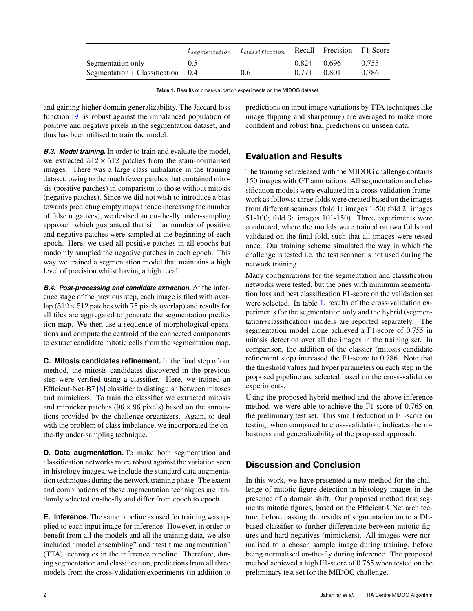<span id="page-1-0"></span>

|                                     |     | $t_{segmentation}$ $t_{classification}$ Recall Precision F1-Score |               |       |       |
|-------------------------------------|-----|-------------------------------------------------------------------|---------------|-------|-------|
| Segmentation only                   | 0.5 | $\sim$                                                            | $0.824$ 0.696 |       | 0.755 |
| Segmentation + Classification $0.4$ |     | 0.6                                                               | 0.771         | 0.801 | 0.786 |

**Table 1.** Results of cross-validation experiments on the MIDOG dataset.

and gaining higher domain generalizability. The Jaccard loss function [\[9\]](#page-2-9) is robust against the imbalanced population of positive and negative pixels in the segmentation dataset, and thus has been utilised to train the model.

*B.3. Model training.* In order to train and evaluate the model, we extracted  $512 \times 512$  patches from the stain-normalised images. There was a large class imbalance in the training dataset, owing to the much fewer patches that contained mitosis (positive patches) in comparison to those without mitosis (negative patches). Since we did not wish to introduce a bias towards predicting empty maps (hence increasing the number of false negatives), we devised an on-the-fly under-sampling approach which guaranteed that similar number of positive and negative patches were sampled at the beginning of each epoch. Here, we used all positive patches in all epochs but randomly sampled the negative patches in each epoch. This way we trained a segmentation model that maintains a high level of precision whilst having a high recall.

*B.4. Post-processing and candidate extraction.* At the inference stage of the previous step, each image is tiled with overlap ( $512 \times 512$  patches with 75 pixels overlap) and results for all tiles are aggregated to generate the segmentation prediction map. We then use a sequence of morphological operations and compute the centroid of the connected components to extract candidate mitotic cells from the segmentation map.

**C. Mitosis candidates refinement.** In the final step of our method, the mitosis candidates discovered in the previous step were verified using a classifier. Here, we trained an Efficient-Net-B7 [\[8\]](#page-2-7) classifier to distinguish between mitoses and mimickers. To train the classifier we extracted mitosis and mimicker patches ( $96 \times 96$  pixels) based on the annotations provided by the challenge organizers. Again, to deal with the problem of class imbalance, we incorporated the onthe-fly under-sampling technique.

**D. Data augmentation.** To make both segmentation and classification networks more robust against the variation seen in histology images, we include the standard data augmentation techniques during the network training phase. The extent and combinations of these augmentation techniques are randomly selected on-the-fly and differ from epoch to epoch.

**E. Inference.** The same pipeline as used for training was applied to each input image for inference. However, in order to benefit from all the models and all the training data, we also included "model ensembling" and "test time augmentation" (TTA) techniques in the inference pipeline. Therefore, during segmentation and classification, predictions from all three models from the cross-validation experiments (in addition to

predictions on input image variations by TTA techniques like image flipping and sharpening) are averaged to make more confident and robust final predictions on unseen data.

# **Evaluation and Results**

The training set released with the MIDOG challenge contains 150 images with GT annotations. All segmentation and classification models were evaluated in a cross-validation framework as follows: three folds were created based on the images from different scanners (fold 1: images 1-50; fold 2: images 51-100; fold 3: images 101-150). Three experiments were conducted, where the models were trained on two folds and validated on the final fold, such that all images were tested once. Our training scheme simulated the way in which the challenge is tested i.e. the test scanner is not used during the network training.

Many configurations for the segmentation and classification networks were tested, but the ones with minimum segmentation loss and best classification F1-score on the validation set were selected. In table [1,](#page-1-0) results of the cross-validation experiments for the segmentation only and the hybrid (segmentation+classification) models are reported separately. The segmentation model alone achieved a F1-score of 0.755 in mitosis detection over all the images in the training set. In comparison, the addition of the classier (mitosis candidate refinement step) increased the F1-score to 0.786. Note that the threshold values and hyper parameters on each step in the proposed pipeline are selected based on the cross-validation experiments.

Using the proposed hybrid method and the above inference method, we were able to achieve the F1-score of 0.765 on the preliminary test set. This small reduction in F1-score on testing, when compared to cross-validation, indicates the robustness and generalizability of the proposed approach.

# **Discussion and Conclusion**

In this work, we have presented a new method for the challenge of mitotic figure detection in histology images in the presence of a domain shift. Our proposed method first segments mitotic figures, based on the Efficient-UNet architecture, before passing the results of segmentation on to a DLbased classifier to further differentiate between mitotic figures and hard negatives (mimickers). All images were normalised to a chosen sample image during training, before being normalised on-the-fly during inference. The proposed method achieved a high F1-score of 0.765 when tested on the preliminary test set for the MIDOG challenge.